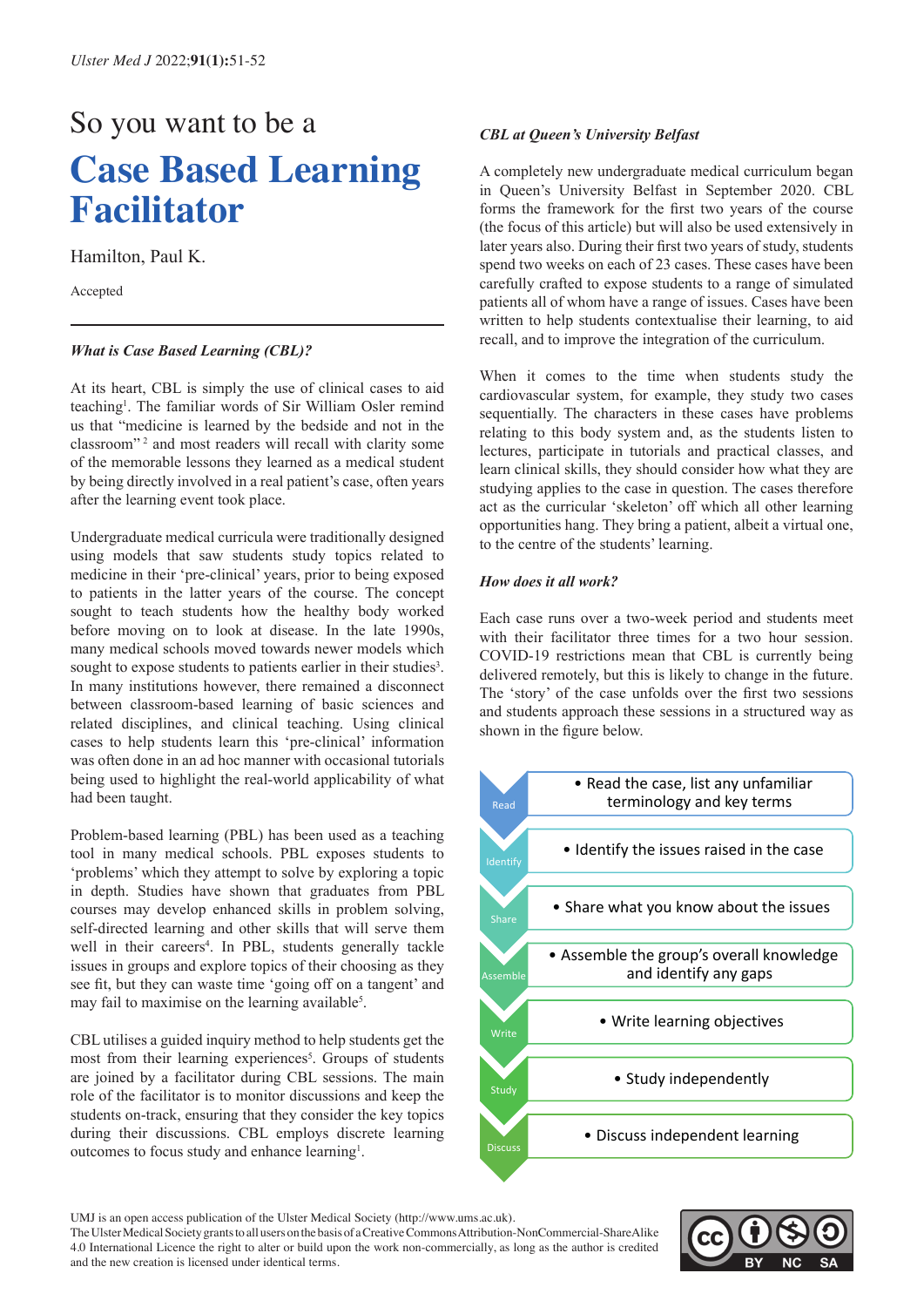# So you want to be a **Case Based Learning Facilitator**

Hamilton, Paul K.

Accepted

## *What is Case Based Learning (CBL)?*

At its heart, CBL is simply the use of clinical cases to aid teaching<sup>1</sup>. The familiar words of Sir William Osler remind us that "medicine is learned by the bedside and not in the classroom"<sup>2</sup> and most readers will recall with clarity some of the memorable lessons they learned as a medical student by being directly involved in a real patient's case, often years after the learning event took place.

Undergraduate medical curricula were traditionally designed using models that saw students study topics related to medicine in their 'pre-clinical' years, prior to being exposed to patients in the latter years of the course. The concept sought to teach students how the healthy body worked before moving on to look at disease. In the late 1990s, many medical schools moved towards newer models which sought to expose students to patients earlier in their studies<sup>3</sup>. In many institutions however, there remained a disconnect between classroom-based learning of basic sciences and related disciplines, and clinical teaching. Using clinical cases to help students learn this 'pre-clinical' information was often done in an ad hoc manner with occasional tutorials being used to highlight the real-world applicability of what had been taught.

Problem-based learning (PBL) has been used as a teaching tool in many medical schools. PBL exposes students to 'problems' which they attempt to solve by exploring a topic in depth. Studies have shown that graduates from PBL courses may develop enhanced skills in problem solving, self-directed learning and other skills that will serve them well in their careers<sup>4</sup>. In PBL, students generally tackle issues in groups and explore topics of their choosing as they see fit, but they can waste time 'going off on a tangent' and may fail to maximise on the learning available<sup>5</sup>.

CBL utilises a guided inquiry method to help students get the most from their learning experiences<sup>5</sup>. Groups of students are joined by a facilitator during CBL sessions. The main role of the facilitator is to monitor discussions and keep the students on-track, ensuring that they consider the key topics during their discussions. CBL employs discrete learning outcomes to focus study and enhance learning<sup>1</sup>.

### *CBL at Queen's University Belfast*

A completely new undergraduate medical curriculum began in Queen's University Belfast in September 2020. CBL forms the framework for the first two years of the course (the focus of this article) but will also be used extensively in later years also. During their first two years of study, students spend two weeks on each of 23 cases. These cases have been carefully crafted to expose students to a range of simulated patients all of whom have a range of issues. Cases have been written to help students contextualise their learning, to aid recall, and to improve the integration of the curriculum.

When it comes to the time when students study the cardiovascular system, for example, they study two cases sequentially. The characters in these cases have problems relating to this body system and, as the students listen to lectures, participate in tutorials and practical classes, and learn clinical skills, they should consider how what they are studying applies to the case in question. The cases therefore act as the curricular 'skeleton' off which all other learning opportunities hang. They bring a patient, albeit a virtual one, to the centre of the students' learning.

# How does it all work?

Each case runs over a two-week period and students meet with their facilitator three times for a two hour session. COVID-19 restrictions mean that CBL is currently being two-week period and students mean that CBL is currently being delivered remotely, but this is likely to change in the future. The 'story' of the case unfolds over the first two sessions remotes over the fust two sessions<br>and students approach these sessions in a structured way as shown in the figure below. and students approach these sessions in a structured way as shown in the figure helow:



UMJ is an open access publication of the Ulster Medical Society (http://www.ums.ac.uk).

The Ulster Medical Society grants to all users on the basis of a Creative Commons Attribution-NonCommercial-ShareAlike 4.0 International Licence the right to alter or build upon the work non-commercially, as long as the author is credited and the new creation is licensed under identical terms.